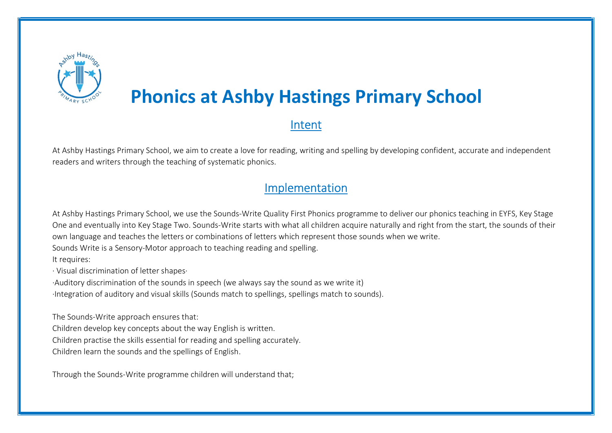

# Phonics at Ashby Hastings Primary School

# Intent

At Ashby Hastings Primary School, we aim to create a love for reading, writing and spelling by developing confident, accurate and independent readers and writers through the teaching of systematic phonics.

## Implementation

At Ashby Hastings Primary School, we use the Sounds-Write Quality First Phonics programme to deliver our phonics teaching in EYFS, Key Stage One and eventually into Key Stage Two. Sounds-Write starts with what all children acquire naturally and right from the start, the sounds of their own language and teaches the letters or combinations of letters which represent those sounds when we write.

Sounds Write is a Sensory-Motor approach to teaching reading and spelling.

It requires:

· Visual discrimination of letter shapes·

·Auditory discrimination of the sounds in speech (we always say the sound as we write it)

·Integration of auditory and visual skills (Sounds match to spellings, spellings match to sounds).

The Sounds-Write approach ensures that:

Children develop key concepts about the way English is written.

Children practise the skills essential for reading and spelling accurately.

Children learn the sounds and the spellings of English.

Through the Sounds-Write programme children will understand that;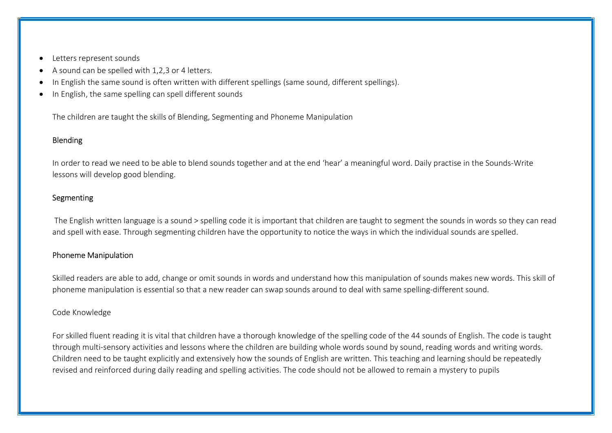- Letters represent sounds
- A sound can be spelled with 1,2,3 or 4 letters.
- In English the same sound is often written with different spellings (same sound, different spellings).
- In English, the same spelling can spell different sounds

The children are taught the skills of Blending, Segmenting and Phoneme Manipulation

#### Blending

In order to read we need to be able to blend sounds together and at the end 'hear' a meaningful word. Daily practise in the Sounds-Write lessons will develop good blending.

#### Segmenting

 The English written language is a sound > spelling code it is important that children are taught to segment the sounds in words so they can read and spell with ease. Through segmenting children have the opportunity to notice the ways in which the individual sounds are spelled.

#### Phoneme Manipulation

Skilled readers are able to add, change or omit sounds in words and understand how this manipulation of sounds makes new words. This skill of phoneme manipulation is essential so that a new reader can swap sounds around to deal with same spelling-different sound.

#### Code Knowledge

For skilled fluent reading it is vital that children have a thorough knowledge of the spelling code of the 44 sounds of English. The code is taught through multi-sensory activities and lessons where the children are building whole words sound by sound, reading words and writing words. Children need to be taught explicitly and extensively how the sounds of English are written. This teaching and learning should be repeatedly revised and reinforced during daily reading and spelling activities. The code should not be allowed to remain a mystery to pupils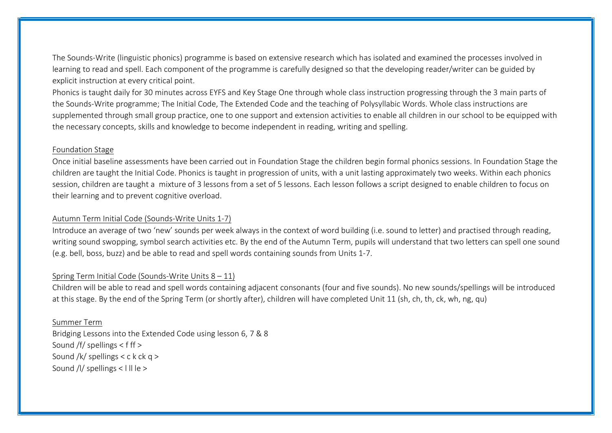The Sounds-Write (linguistic phonics) programme is based on extensive research which has isolated and examined the processes involved in learning to read and spell. Each component of the programme is carefully designed so that the developing reader/writer can be guided by explicit instruction at every critical point.

Phonics is taught daily for 30 minutes across EYFS and Key Stage One through whole class instruction progressing through the 3 main parts of the Sounds-Write programme; The Initial Code, The Extended Code and the teaching of Polysyllabic Words. Whole class instructions are supplemented through small group practice, one to one support and extension activities to enable all children in our school to be equipped with the necessary concepts, skills and knowledge to become independent in reading, writing and spelling.

#### Foundation Stage

Once initial baseline assessments have been carried out in Foundation Stage the children begin formal phonics sessions. In Foundation Stage the children are taught the Initial Code. Phonics is taught in progression of units, with a unit lasting approximately two weeks. Within each phonics session, children are taught a mixture of 3 lessons from a set of 5 lessons. Each lesson follows a script designed to enable children to focus on their learning and to prevent cognitive overload.

#### Autumn Term Initial Code (Sounds-Write Units 1-7)

Introduce an average of two 'new' sounds per week always in the context of word building (i.e. sound to letter) and practised through reading, writing sound swopping, symbol search activities etc. By the end of the Autumn Term, pupils will understand that two letters can spell one sound (e.g. bell, boss, buzz) and be able to read and spell words containing sounds from Units 1-7.

#### Spring Term Initial Code (Sounds-Write Units  $8 - 11$ )

Children will be able to read and spell words containing adjacent consonants (four and five sounds). No new sounds/spellings will be introduced at this stage. By the end of the Spring Term (or shortly after), children will have completed Unit 11 (sh, ch, th, ck, wh, ng, qu)

#### Summer Term

Bridging Lessons into the Extended Code using lesson 6, 7 & 8 Sound /f/ spellings < f ff > Sound /k/ spellings  $<$  c k ck q  $>$ Sound /l/ spellings < I II le >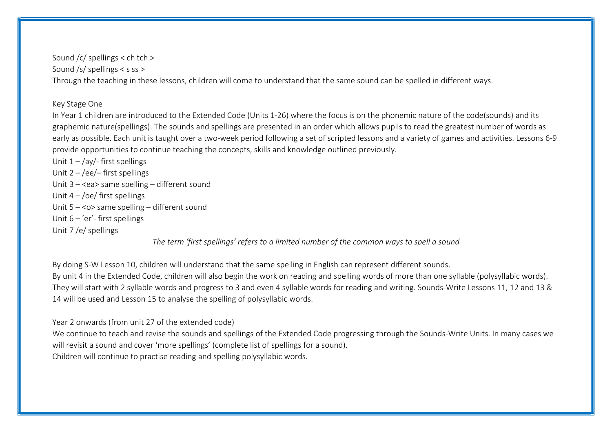Sound /c/ spellings < ch tch > Sound /s/ spellings < s ss > Through the teaching in these lessons, children will come to understand that the same sound can be spelled in different ways.

#### Key Stage One

In Year 1 children are introduced to the Extended Code (Units 1-26) where the focus is on the phonemic nature of the code(sounds) and its graphemic nature(spellings). The sounds and spellings are presented in an order which allows pupils to read the greatest number of words as early as possible. Each unit is taught over a two-week period following a set of scripted lessons and a variety of games and activities. Lessons 6-9 provide opportunities to continue teaching the concepts, skills and knowledge outlined previously.

Unit  $1 - \frac{1}{4}$  first spellings Unit  $2 - /ee$  first spellings Unit 3 – <ea> same spelling – different sound Unit  $4 - /oe/$  first spellings Unit 5 – <o> same spelling – different sound Unit 6 – 'er'- first spellings Unit 7 /e/ spellings

The term 'first spellings' refers to a limited number of the common ways to spell a sound

By doing S-W Lesson 10, children will understand that the same spelling in English can represent different sounds. By unit 4 in the Extended Code, children will also begin the work on reading and spelling words of more than one syllable (polysyllabic words). They will start with 2 syllable words and progress to 3 and even 4 syllable words for reading and writing. Sounds-Write Lessons 11, 12 and 13 & 14 will be used and Lesson 15 to analyse the spelling of polysyllabic words.

Year 2 onwards (from unit 27 of the extended code)

We continue to teach and revise the sounds and spellings of the Extended Code progressing through the Sounds-Write Units. In many cases we will revisit a sound and cover 'more spellings' (complete list of spellings for a sound). Children will continue to practise reading and spelling polysyllabic words.